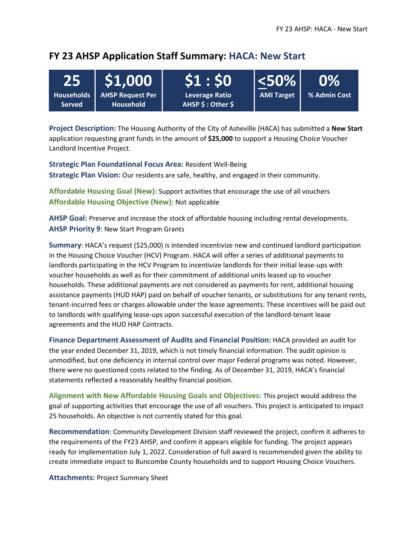#### **FY 23 AHSP Application Staff Summary: HACA: New Start**

| 25 <sub>1</sub>                    | $ $ \$1,000                                 | \$1:50                                     | $ \texttt{<}50\% $ | $0\%$        |
|------------------------------------|---------------------------------------------|--------------------------------------------|--------------------|--------------|
| <b>Households</b><br><b>Served</b> | <b>AHSP Request Per</b><br><b>Household</b> | <b>Leverage Ratio</b><br>AHSP \$: Other \$ | <b>AMI Target</b>  | % Admin Cost |

**Project Description:** The Housing Authority of the City of Asheville (HACA) has submitted a **New Start** application requesting grant funds in the amount of **\$25,000** to support a Housing Choice Voucher Landlord Incentive Project.

**Strategic Plan Foundational Focus Area:** Resident Well-Being **Strategic Plan Vision:** Our residents are safe, healthy, and engaged in their community.

**Affordable Housing Goal (New):** Support activities that encourage the use of all vouchers **Affordable Housing Objective (New):** Not applicable

**AHSP Goal:** Preserve and increase the stock of affordable housing including rental developments. **AHSP Priority 9**: New Start Program Grants

**Summary**: HACA's request (\$25,000) is intended incentivize new and continued landlord participation in the Housing Choice Voucher (HCV) Program. HACA will offer a series of additional payments to landlords participating in the HCV Program to incentivize landlords for their initial lease-ups with voucher households as well as for their commitment of additional units leased up to voucher households. These additional payments are not considered as payments for rent, additional housing assistance payments (HUD HAP) paid on behalf of voucher tenants, or substitutions for any tenant rents, tenant-incurred fees or charges allowable under the lease agreements. These incentives will be paid out to landlords with qualifying lease-ups upon successful execution of the landlord-tenant lease agreements and the HUD HAP Contracts.

**Finance Department Assessment of Audits and Financial Position:** HACA provided an audit for the year ended December 31, 2019, which is not timely financial information. The audit opinion is unmodified, but one deficiency in internal control over major Federal programs was noted. However, there were no questioned costs related to the finding. As of December 31, 2019, HACA's financial statements reflected a reasonably healthy financial position.

**Alignment with New Affordable Housing Goals and Objectives:** This project would address the goal of supporting activities that encourage the use of all vouchers. This project is anticipated to impact 25 households. An objective is not currently stated for this goal.

**Recommendation**: Community Development Division staff reviewed the project, confirm it adheres to the requirements of the FY23 AHSP, and confirm it appears eligible for funding. The project appears ready for implementation July 1, 2022. Consideration of full award is recommended given the ability to create immediate impact to Buncombe County households and to support Housing Choice Vouchers.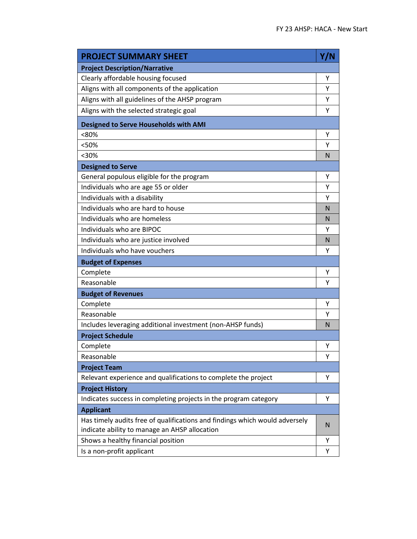| <b>PROJECT SUMMARY SHEET</b>                                                                                                 | Y/N |
|------------------------------------------------------------------------------------------------------------------------------|-----|
| <b>Project Description/Narrative</b>                                                                                         |     |
| Clearly affordable housing focused                                                                                           | Υ   |
| Aligns with all components of the application                                                                                | Υ   |
| Aligns with all guidelines of the AHSP program                                                                               | Υ   |
| Aligns with the selected strategic goal                                                                                      | Υ   |
| <b>Designed to Serve Households with AMI</b>                                                                                 |     |
| <80%                                                                                                                         | Υ   |
| <50%                                                                                                                         | Υ   |
| <30%                                                                                                                         | N   |
| <b>Designed to Serve</b>                                                                                                     |     |
| General populous eligible for the program                                                                                    | Υ   |
| Individuals who are age 55 or older                                                                                          | Υ   |
| Individuals with a disability                                                                                                | Υ   |
| Individuals who are hard to house                                                                                            | N   |
| Individuals who are homeless                                                                                                 | N   |
| Individuals who are BIPOC                                                                                                    | Υ   |
| Individuals who are justice involved                                                                                         | N   |
| Individuals who have vouchers                                                                                                | Υ   |
| <b>Budget of Expenses</b>                                                                                                    |     |
| Complete                                                                                                                     | Υ   |
| Reasonable                                                                                                                   | Υ   |
| <b>Budget of Revenues</b>                                                                                                    |     |
| Complete                                                                                                                     | Υ   |
| Reasonable                                                                                                                   | Y   |
| Includes leveraging additional investment (non-AHSP funds)                                                                   | N   |
| <b>Project Schedule</b>                                                                                                      |     |
| Complete                                                                                                                     | Υ   |
| Reasonable                                                                                                                   | Y   |
| <b>Project Team</b>                                                                                                          |     |
| Relevant experience and qualifications to complete the project                                                               | Υ   |
| <b>Project History</b>                                                                                                       |     |
| Indicates success in completing projects in the program category                                                             | Υ   |
| <b>Applicant</b>                                                                                                             |     |
| Has timely audits free of qualifications and findings which would adversely<br>indicate ability to manage an AHSP allocation | N   |
| Shows a healthy financial position                                                                                           | Y   |
| Is a non-profit applicant                                                                                                    | Υ   |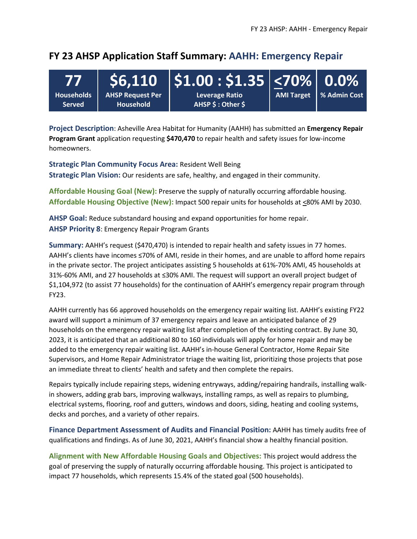# **FY 23 AHSP Application Staff Summary: AAHH: Emergency Repair**

| <b>VZA</b>                         |                                             | $\mid$ \$6,110 $\mid$ \$1.00 : \$1.35 <70% 0.0% |                   |                |
|------------------------------------|---------------------------------------------|-------------------------------------------------|-------------------|----------------|
| <b>Households</b><br><b>Served</b> | <b>AHSP Request Per</b><br><b>Household</b> | <b>Leverage Ratio</b><br>AHSP \$ : Other \$     | <b>AMI Target</b> | │ % Admin Cost |

**Project Description**: Asheville Area Habitat for Humanity (AAHH) has submitted an **Emergency Repair Program Grant** application requesting **\$470,470** to repair health and safety issues for low-income homeowners.

**Strategic Plan Community Focus Area:** Resident Well Being **Strategic Plan Vision:** Our residents are safe, healthy, and engaged in their community.

**Affordable Housing Goal (New):** Preserve the supply of naturally occurring affordable housing. Affordable Housing Objective (New): Impact 500 repair units for households at <80% AMI by 2030.

**AHSP Goal:** Reduce substandard housing and expand opportunities for home repair. **AHSP Priority 8**: Emergency Repair Program Grants

**Summary:** AAHH's request (\$470,470) is intended to repair health and safety issues in 77 homes. AAHH's clients have incomes ≤70% of AMI, reside in their homes, and are unable to afford home repairs in the private sector. The project anticipates assisting 5 households at 61%-70% AMI, 45 households at 31%-60% AMI, and 27 households at ≤30% AMI. The request will support an overall project budget of \$1,104,972 (to assist 77 households) for the continuation of AAHH's emergency repair program through FY23.

AAHH currently has 66 approved households on the emergency repair waiting list. AAHH's existing FY22 award will support a minimum of 37 emergency repairs and leave an anticipated balance of 29 households on the emergency repair waiting list after completion of the existing contract. By June 30, 2023, it is anticipated that an additional 80 to 160 individuals will apply for home repair and may be added to the emergency repair waiting list. AAHH's in-house General Contractor, Home Repair Site Supervisors, and Home Repair Administrator triage the waiting list, prioritizing those projects that pose an immediate threat to clients' health and safety and then complete the repairs.

Repairs typically include repairing steps, widening entryways, adding/repairing handrails, installing walkin showers, adding grab bars, improving walkways, installing ramps, as well as repairs to plumbing, electrical systems, flooring, roof and gutters, windows and doors, siding, heating and cooling systems, decks and porches, and a variety of other repairs.

**Finance Department Assessment of Audits and Financial Position:** AAHH has timely audits free of qualifications and findings. As of June 30, 2021, AAHH's financial show a healthy financial position.

**Alignment with New Affordable Housing Goals and Objectives:** This project would address the goal of preserving the supply of naturally occurring affordable housing. This project is anticipated to impact 77 households, which represents 15.4% of the stated goal (500 households).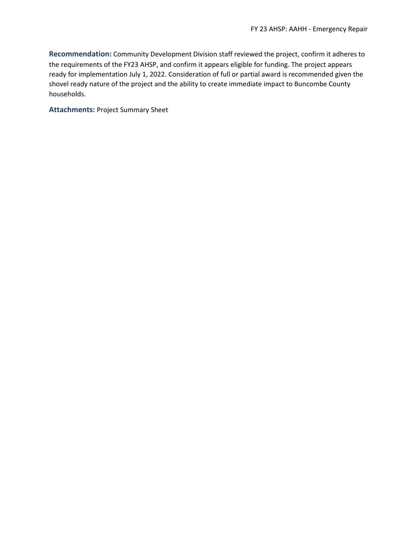**Recommendation:** Community Development Division staff reviewed the project, confirm it adheres to the requirements of the FY23 AHSP, and confirm it appears eligible for funding. The project appears ready for implementation July 1, 2022. Consideration of full or partial award is recommended given the shovel ready nature of the project and the ability to create immediate impact to Buncombe County households.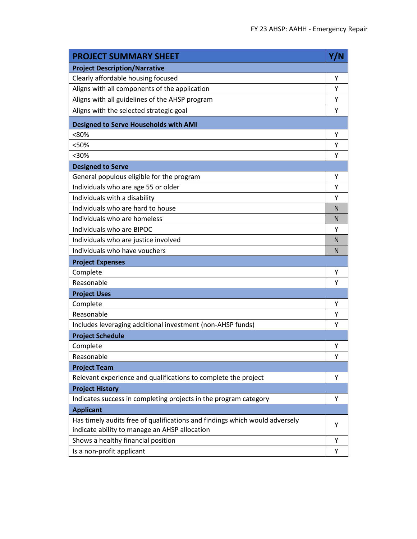| <b>PROJECT SUMMARY SHEET</b>                                                                                                 | Y/N          |
|------------------------------------------------------------------------------------------------------------------------------|--------------|
| <b>Project Description/Narrative</b>                                                                                         |              |
| Clearly affordable housing focused                                                                                           | Υ            |
| Aligns with all components of the application                                                                                | Υ            |
| Aligns with all guidelines of the AHSP program                                                                               | Υ            |
| Aligns with the selected strategic goal                                                                                      | Υ            |
| <b>Designed to Serve Households with AMI</b>                                                                                 |              |
| <80%                                                                                                                         | Υ            |
| <50%                                                                                                                         | Υ            |
| $30%$                                                                                                                        | Υ            |
| <b>Designed to Serve</b>                                                                                                     |              |
| General populous eligible for the program                                                                                    | Υ            |
| Individuals who are age 55 or older                                                                                          | Υ            |
| Individuals with a disability                                                                                                | Υ            |
| Individuals who are hard to house                                                                                            | $\mathsf{N}$ |
| Individuals who are homeless                                                                                                 | $\mathsf{N}$ |
| Individuals who are BIPOC                                                                                                    | Υ            |
| Individuals who are justice involved                                                                                         | $\mathsf{N}$ |
| Individuals who have vouchers                                                                                                | N            |
| <b>Project Expenses</b>                                                                                                      |              |
| Complete                                                                                                                     | Υ            |
| Reasonable                                                                                                                   | Υ            |
| <b>Project Uses</b>                                                                                                          |              |
| Complete                                                                                                                     | Υ            |
| Reasonable                                                                                                                   | Υ            |
| Includes leveraging additional investment (non-AHSP funds)                                                                   | Υ            |
| <b>Project Schedule</b>                                                                                                      |              |
| Complete                                                                                                                     | Υ            |
| Reasonable                                                                                                                   | Y            |
| <b>Project Team</b>                                                                                                          |              |
| Relevant experience and qualifications to complete the project                                                               | Y            |
| <b>Project History</b>                                                                                                       |              |
| Indicates success in completing projects in the program category                                                             | Υ            |
| <b>Applicant</b>                                                                                                             |              |
| Has timely audits free of qualifications and findings which would adversely<br>indicate ability to manage an AHSP allocation | Y            |
| Shows a healthy financial position                                                                                           | Υ            |
| Is a non-profit applicant                                                                                                    | Υ            |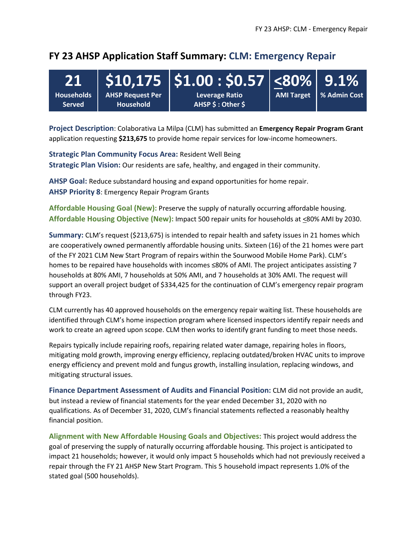## **FY 23 AHSP Application Staff Summary: CLM: Emergency Repair**

| 21                                 |                                             | $\mid$ \$10,175 $\mid$ \$1.00 : \$0.57 $\mid$ <80% $\mid$ 9.1% $\mid$ |                   |                |
|------------------------------------|---------------------------------------------|-----------------------------------------------------------------------|-------------------|----------------|
| <b>Households</b><br><b>Served</b> | <b>AHSP Request Per</b><br><b>Household</b> | <b>Leverage Ratio</b><br>AHSP \$ : Other \$                           | <b>AMI Target</b> | │ % Admin Cost |

**Project Description**: Colaborativa La Milpa (CLM) has submitted an **Emergency Repair Program Grant**  application requesting **\$213,675** to provide home repair services for low-income homeowners.

**Strategic Plan Community Focus Area:** Resident Well Being **Strategic Plan Vision:** Our residents are safe, healthy, and engaged in their community.

**AHSP Goal:** Reduce substandard housing and expand opportunities for home repair. **AHSP Priority 8**: Emergency Repair Program Grants

**Affordable Housing Goal (New):** Preserve the supply of naturally occurring affordable housing. **Affordable Housing Objective (New):** Impact 500 repair units for households at <80% AMI by 2030.

**Summary:** CLM's request (\$213,675) is intended to repair health and safety issues in 21 homes which are cooperatively owned permanently affordable housing units. Sixteen (16) of the 21 homes were part of the FY 2021 CLM New Start Program of repairs within the Sourwood Mobile Home Park). CLM's homes to be repaired have households with incomes ≤80% of AMI. The project anticipates assisting 7 households at 80% AMI, 7 households at 50% AMI, and 7 households at 30% AMI. The request will support an overall project budget of \$334,425 for the continuation of CLM's emergency repair program through FY23.

CLM currently has 40 approved households on the emergency repair waiting list. These households are identified through CLM's home inspection program where licensed inspectors identify repair needs and work to create an agreed upon scope. CLM then works to identify grant funding to meet those needs.

Repairs typically include repairing roofs, repairing related water damage, repairing holes in floors, mitigating mold growth, improving energy efficiency, replacing outdated/broken HVAC units to improve energy efficiency and prevent mold and fungus growth, installing insulation, replacing windows, and mitigating structural issues.

**Finance Department Assessment of Audits and Financial Position:** CLM did not provide an audit, but instead a review of financial statements for the year ended December 31, 2020 with no qualifications. As of December 31, 2020, CLM's financial statements reflected a reasonably healthy financial position.

**Alignment with New Affordable Housing Goals and Objectives:** This project would address the goal of preserving the supply of naturally occurring affordable housing. This project is anticipated to impact 21 households; however, it would only impact 5 households which had not previously received a repair through the FY 21 AHSP New Start Program. This 5 household impact represents 1.0% of the stated goal (500 households).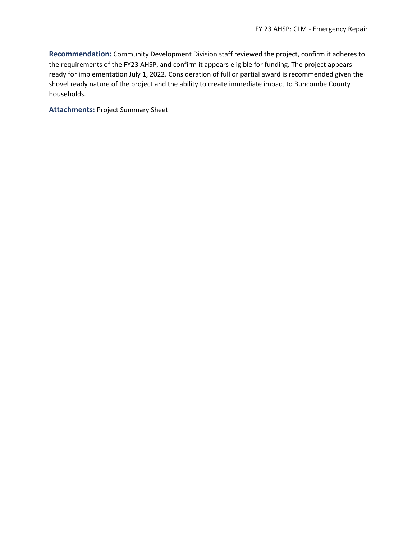**Recommendation:** Community Development Division staff reviewed the project, confirm it adheres to the requirements of the FY23 AHSP, and confirm it appears eligible for funding. The project appears ready for implementation July 1, 2022. Consideration of full or partial award is recommended given the shovel ready nature of the project and the ability to create immediate impact to Buncombe County households.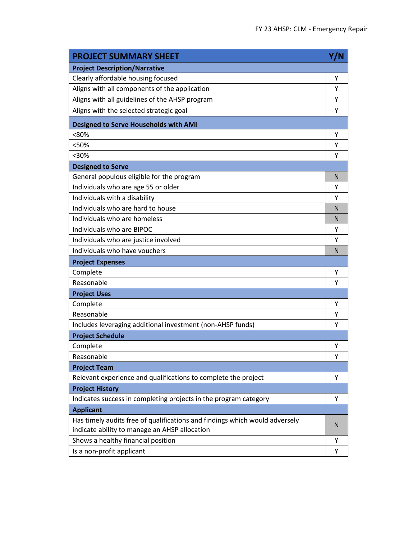| <b>PROJECT SUMMARY SHEET</b>                                                                                                 | Y/N          |
|------------------------------------------------------------------------------------------------------------------------------|--------------|
| <b>Project Description/Narrative</b>                                                                                         |              |
| Clearly affordable housing focused                                                                                           | Υ            |
| Aligns with all components of the application                                                                                | Υ            |
| Aligns with all guidelines of the AHSP program                                                                               | Υ            |
| Aligns with the selected strategic goal                                                                                      | Υ            |
| <b>Designed to Serve Households with AMI</b>                                                                                 |              |
| <80%                                                                                                                         | Υ            |
| <50%                                                                                                                         | Υ            |
| $30%$                                                                                                                        | Υ            |
| <b>Designed to Serve</b>                                                                                                     |              |
| General populous eligible for the program                                                                                    | N            |
| Individuals who are age 55 or older                                                                                          | Υ            |
| Individuals with a disability                                                                                                | Υ            |
| Individuals who are hard to house                                                                                            | $\mathsf{N}$ |
| Individuals who are homeless                                                                                                 | N            |
| Individuals who are BIPOC                                                                                                    | Υ            |
| Individuals who are justice involved                                                                                         | Υ            |
| Individuals who have vouchers                                                                                                | N            |
| <b>Project Expenses</b>                                                                                                      |              |
| Complete                                                                                                                     | Υ            |
| Reasonable                                                                                                                   | Υ            |
| <b>Project Uses</b>                                                                                                          |              |
| Complete                                                                                                                     | Υ            |
| Reasonable                                                                                                                   | Υ            |
| Includes leveraging additional investment (non-AHSP funds)                                                                   | Υ            |
| <b>Project Schedule</b>                                                                                                      |              |
| Complete                                                                                                                     | Υ            |
| Reasonable                                                                                                                   | Y            |
| <b>Project Team</b>                                                                                                          |              |
| Relevant experience and qualifications to complete the project                                                               | Υ            |
| <b>Project History</b>                                                                                                       |              |
| Indicates success in completing projects in the program category                                                             | Υ            |
| <b>Applicant</b>                                                                                                             |              |
| Has timely audits free of qualifications and findings which would adversely<br>indicate ability to manage an AHSP allocation | N            |
| Shows a healthy financial position                                                                                           | Υ            |
| Is a non-profit applicant                                                                                                    | Υ            |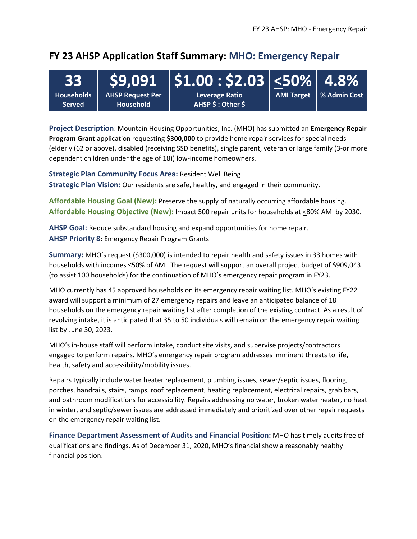# **FY 23 AHSP Application Staff Summary: MHO: Emergency Repair**

| <b>133 I</b>                       |                                      | $\vert$ \$9,091 $\vert$ \$1.00 : \$2.03 $\vert$ <50% $\vert$ 4.8% |                   |              |
|------------------------------------|--------------------------------------|-------------------------------------------------------------------|-------------------|--------------|
| <b>Households</b><br><b>Served</b> | <b>AHSP Request Per</b><br>Household | <b>Leverage Ratio</b><br>AHSP \$ : Other \$                       | <b>AMI Target</b> | % Admin Cost |

**Project Description**: Mountain Housing Opportunities, Inc. (MHO) has submitted an **Emergency Repair Program Grant** application requesting **\$300,000** to provide home repair services for special needs (elderly (62 or above), disabled (receiving SSD benefits), single parent, veteran or large family (3-or more dependent children under the age of 18)) low-income homeowners.

**Strategic Plan Community Focus Area:** Resident Well Being **Strategic Plan Vision:** Our residents are safe, healthy, and engaged in their community.

**Affordable Housing Goal (New):** Preserve the supply of naturally occurring affordable housing. **Affordable Housing Objective (New):** Impact 500 repair units for households at <80% AMI by 2030.

**AHSP Goal:** Reduce substandard housing and expand opportunities for home repair. **AHSP Priority 8**: Emergency Repair Program Grants

**Summary:** MHO's request (\$300,000) is intended to repair health and safety issues in 33 homes with households with incomes ≤50% of AMI. The request will support an overall project budget of \$909,043 (to assist 100 households) for the continuation of MHO's emergency repair program in FY23.

MHO currently has 45 approved households on its emergency repair waiting list. MHO's existing FY22 award will support a minimum of 27 emergency repairs and leave an anticipated balance of 18 households on the emergency repair waiting list after completion of the existing contract. As a result of revolving intake, it is anticipated that 35 to 50 individuals will remain on the emergency repair waiting list by June 30, 2023.

MHO's in-house staff will perform intake, conduct site visits, and supervise projects/contractors engaged to perform repairs. MHO's emergency repair program addresses imminent threats to life, health, safety and accessibility/mobility issues.

Repairs typically include water heater replacement, plumbing issues, sewer/septic issues, flooring, porches, handrails, stairs, ramps, roof replacement, heating replacement, electrical repairs, grab bars, and bathroom modifications for accessibility. Repairs addressing no water, broken water heater, no heat in winter, and septic/sewer issues are addressed immediately and prioritized over other repair requests on the emergency repair waiting list.

**Finance Department Assessment of Audits and Financial Position:** MHO has timely audits free of qualifications and findings. As of December 31, 2020, MHO's financial show a reasonably healthy financial position.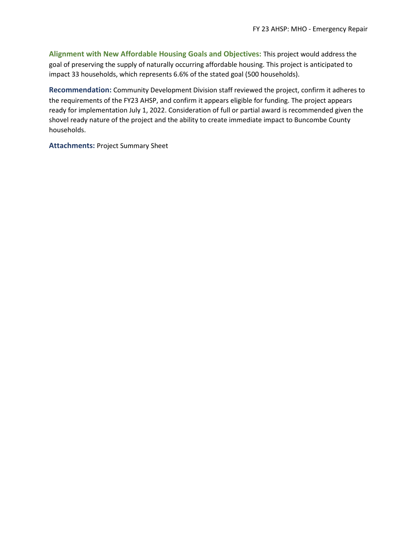**Alignment with New Affordable Housing Goals and Objectives:** This project would address the goal of preserving the supply of naturally occurring affordable housing. This project is anticipated to impact 33 households, which represents 6.6% of the stated goal (500 households).

**Recommendation:** Community Development Division staff reviewed the project, confirm it adheres to the requirements of the FY23 AHSP, and confirm it appears eligible for funding. The project appears ready for implementation July 1, 2022. Consideration of full or partial award is recommended given the shovel ready nature of the project and the ability to create immediate impact to Buncombe County households.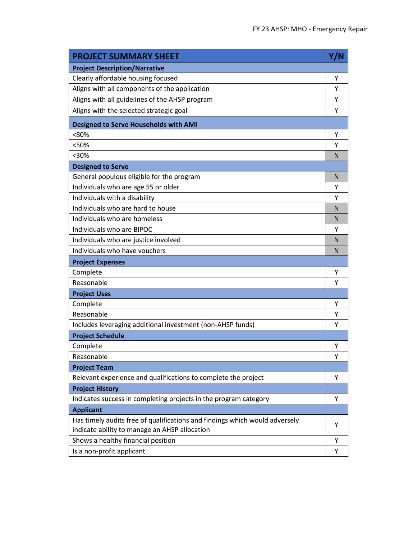| <b>PROJECT SUMMARY SHEET</b>                                                                                                 | Y/N          |
|------------------------------------------------------------------------------------------------------------------------------|--------------|
| <b>Project Description/Narrative</b>                                                                                         |              |
| Clearly affordable housing focused                                                                                           | Υ            |
| Aligns with all components of the application                                                                                | Υ            |
| Aligns with all guidelines of the AHSP program                                                                               | Υ            |
| Aligns with the selected strategic goal                                                                                      | Υ            |
| <b>Designed to Serve Households with AMI</b>                                                                                 |              |
| <80%                                                                                                                         | Υ            |
| <50%                                                                                                                         | Υ            |
| $30%$                                                                                                                        | $\mathsf{N}$ |
| <b>Designed to Serve</b>                                                                                                     |              |
| General populous eligible for the program                                                                                    | N            |
| Individuals who are age 55 or older                                                                                          | Υ            |
| Individuals with a disability                                                                                                | Υ            |
| Individuals who are hard to house                                                                                            | $\mathsf{N}$ |
| Individuals who are homeless                                                                                                 | $\mathsf{N}$ |
| Individuals who are BIPOC                                                                                                    | Υ            |
| Individuals who are justice involved                                                                                         | $\mathsf{N}$ |
| Individuals who have vouchers                                                                                                | N            |
| <b>Project Expenses</b>                                                                                                      |              |
| Complete                                                                                                                     | Υ            |
| Reasonable                                                                                                                   | Υ            |
| <b>Project Uses</b>                                                                                                          |              |
| Complete                                                                                                                     | Υ            |
| Reasonable                                                                                                                   | Υ            |
| Includes leveraging additional investment (non-AHSP funds)                                                                   | Υ            |
| <b>Project Schedule</b>                                                                                                      |              |
| Complete                                                                                                                     | Υ            |
| Reasonable                                                                                                                   | Y            |
| <b>Project Team</b>                                                                                                          |              |
| Relevant experience and qualifications to complete the project                                                               | Y            |
| <b>Project History</b>                                                                                                       |              |
| Indicates success in completing projects in the program category                                                             | Υ            |
| <b>Applicant</b>                                                                                                             |              |
| Has timely audits free of qualifications and findings which would adversely<br>indicate ability to manage an AHSP allocation | Y            |
| Shows a healthy financial position                                                                                           | Υ            |
| Is a non-profit applicant                                                                                                    | Υ            |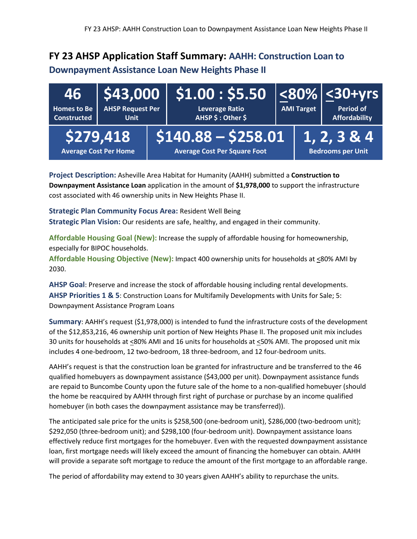# **FY 23 AHSP Application Staff Summary: AAHH: Construction Loan to**

#### **Downpayment Assistance Loan New Heights Phase II**

| <b>Homes to Be</b><br><b>Constructed</b>  | <b>AHSP Request Per</b><br><b>Unit</b> | $46$   \$43,000   \$1.00 : \$5.50  <br><b>Leverage Ratio</b><br>AHSP \$: Other \$ | <b>AMI Target</b> |  | $\vert\vert$ <80% $\vert$ <30+yrs $\vert$<br><b>Period of</b><br><b>Affordability</b> |
|-------------------------------------------|----------------------------------------|-----------------------------------------------------------------------------------|-------------------|--|---------------------------------------------------------------------------------------|
| \$279,418<br><b>Average Cost Per Home</b> |                                        | $5140.88 - 5258.01$<br><b>Average Cost Per Square Foot</b>                        |                   |  | $1, 2, 3 \& 4$<br><b>Bedrooms per Unit</b>                                            |

**Project Description:** Asheville Area Habitat for Humanity (AAHH) submitted a **Construction to Downpayment Assistance Loan** application in the amount of **\$1,978,000** to support the infrastructure cost associated with 46 ownership units in New Heights Phase II.

**Strategic Plan Community Focus Area:** Resident Well Being **Strategic Plan Vision:** Our residents are safe, healthy, and engaged in their community.

**Affordable Housing Goal (New):** Increase the supply of affordable housing for homeownership, especially for BIPOC households.

**Affordable Housing Objective (New):** Impact 400 ownership units for households at <80% AMI by 2030.

**AHSP Goal**: Preserve and increase the stock of affordable housing including rental developments. **AHSP Priorities 1 & 5**: Construction Loans for Multifamily Developments with Units for Sale; 5: Downpayment Assistance Program Loans

**Summary**: AAHH's request (\$1,978,000) is intended to fund the infrastructure costs of the development of the \$12,853,216, 46 ownership unit portion of New Heights Phase II. The proposed unit mix includes 30 units for households at <80% AMI and 16 units for households at <50% AMI. The proposed unit mix includes 4 one-bedroom, 12 two-bedroom, 18 three-bedroom, and 12 four-bedroom units.

AAHH's request is that the construction loan be granted for infrastructure and be transferred to the 46 qualified homebuyers as downpayment assistance (\$43,000 per unit). Downpayment assistance funds are repaid to Buncombe County upon the future sale of the home to a non-qualified homebuyer (should the home be reacquired by AAHH through first right of purchase or purchase by an income qualified homebuyer (in both cases the downpayment assistance may be transferred)).

The anticipated sale price for the units is \$258,500 (one-bedroom unit), \$286,000 (two-bedroom unit); \$292,050 (three-bedroom unit); and \$298,100 (four-bedroom unit). Downpayment assistance loans effectively reduce first mortgages for the homebuyer. Even with the requested downpayment assistance loan, first mortgage needs will likely exceed the amount of financing the homebuyer can obtain. AAHH will provide a separate soft mortgage to reduce the amount of the first mortgage to an affordable range.

The period of affordability may extend to 30 years given AAHH's ability to repurchase the units.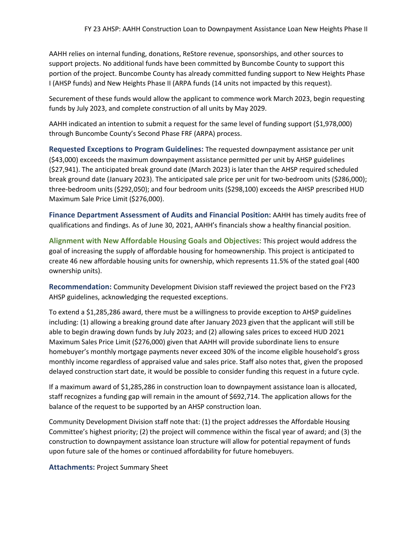AAHH relies on internal funding, donations, ReStore revenue, sponsorships, and other sources to support projects. No additional funds have been committed by Buncombe County to support this portion of the project. Buncombe County has already committed funding support to New Heights Phase I (AHSP funds) and New Heights Phase II (ARPA funds (14 units not impacted by this request).

Securement of these funds would allow the applicant to commence work March 2023, begin requesting funds by July 2023, and complete construction of all units by May 2029.

AAHH indicated an intention to submit a request for the same level of funding support (\$1,978,000) through Buncombe County's Second Phase FRF (ARPA) process.

**Requested Exceptions to Program Guidelines:** The requested downpayment assistance per unit (\$43,000) exceeds the maximum downpayment assistance permitted per unit by AHSP guidelines (\$27,941). The anticipated break ground date (March 2023) is later than the AHSP required scheduled break ground date (January 2023). The anticipated sale price per unit for two-bedroom units (\$286,000); three-bedroom units (\$292,050); and four bedroom units (\$298,100) exceeds the AHSP prescribed HUD Maximum Sale Price Limit (\$276,000).

**Finance Department Assessment of Audits and Financial Position:** AAHH has timely audits free of qualifications and findings. As of June 30, 2021, AAHH's financials show a healthy financial position.

**Alignment with New Affordable Housing Goals and Objectives:** This project would address the goal of increasing the supply of affordable housing for homeownership. This project is anticipated to create 46 new affordable housing units for ownership, which represents 11.5% of the stated goal (400 ownership units).

**Recommendation:** Community Development Division staff reviewed the project based on the FY23 AHSP guidelines, acknowledging the requested exceptions.

To extend a \$1,285,286 award, there must be a willingness to provide exception to AHSP guidelines including: (1) allowing a breaking ground date after January 2023 given that the applicant will still be able to begin drawing down funds by July 2023; and (2) allowing sales prices to exceed HUD 2021 Maximum Sales Price Limit (\$276,000) given that AAHH will provide subordinate liens to ensure homebuyer's monthly mortgage payments never exceed 30% of the income eligible household's gross monthly income regardless of appraised value and sales price. Staff also notes that, given the proposed delayed construction start date, it would be possible to consider funding this request in a future cycle.

If a maximum award of \$1,285,286 in construction loan to downpayment assistance loan is allocated, staff recognizes a funding gap will remain in the amount of \$692,714. The application allows for the balance of the request to be supported by an AHSP construction loan.

Community Development Division staff note that: (1) the project addresses the Affordable Housing Committee's highest priority; (2) the project will commence within the fiscal year of award; and (3) the construction to downpayment assistance loan structure will allow for potential repayment of funds upon future sale of the homes or continued affordability for future homebuyers.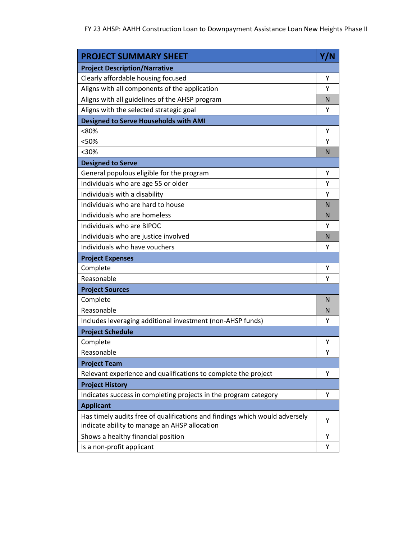| <b>PROJECT SUMMARY SHEET</b>                                                                                                 | Y/N          |
|------------------------------------------------------------------------------------------------------------------------------|--------------|
| <b>Project Description/Narrative</b>                                                                                         |              |
| Clearly affordable housing focused                                                                                           | Υ            |
| Aligns with all components of the application                                                                                | Y            |
| Aligns with all guidelines of the AHSP program                                                                               | N            |
| Aligns with the selected strategic goal                                                                                      | Υ            |
| <b>Designed to Serve Households with AMI</b>                                                                                 |              |
| <80%                                                                                                                         | Υ            |
| <50%                                                                                                                         | Υ            |
| $30%$                                                                                                                        | N            |
| <b>Designed to Serve</b>                                                                                                     |              |
| General populous eligible for the program                                                                                    | Υ            |
| Individuals who are age 55 or older                                                                                          | Υ            |
| Individuals with a disability                                                                                                | Υ            |
| Individuals who are hard to house                                                                                            | N            |
| Individuals who are homeless                                                                                                 | $\mathsf{N}$ |
| Individuals who are BIPOC                                                                                                    | Υ            |
| Individuals who are justice involved                                                                                         | N            |
| Individuals who have vouchers                                                                                                | Υ            |
| <b>Project Expenses</b>                                                                                                      |              |
| Complete                                                                                                                     | Υ            |
| Reasonable                                                                                                                   | Υ            |
| <b>Project Sources</b>                                                                                                       |              |
| Complete                                                                                                                     | N            |
| Reasonable                                                                                                                   | N            |
| Includes leveraging additional investment (non-AHSP funds)                                                                   | Υ            |
| <b>Project Schedule</b>                                                                                                      |              |
| Complete                                                                                                                     | Y            |
| Reasonable                                                                                                                   | Υ            |
| <b>Project Team</b>                                                                                                          |              |
| Relevant experience and qualifications to complete the project                                                               | Y            |
| <b>Project History</b>                                                                                                       |              |
| Indicates success in completing projects in the program category                                                             | Υ            |
| <b>Applicant</b>                                                                                                             |              |
| Has timely audits free of qualifications and findings which would adversely<br>indicate ability to manage an AHSP allocation | Υ            |
| Shows a healthy financial position                                                                                           | Υ            |
| Is a non-profit applicant                                                                                                    | Υ            |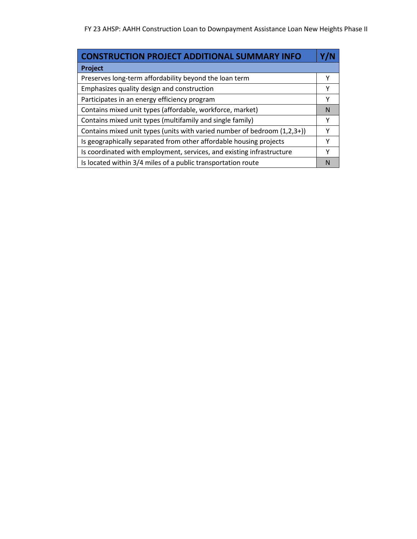| <b>CONSTRUCTION PROJECT ADDITIONAL SUMMARY INFO</b>                      |   |
|--------------------------------------------------------------------------|---|
| Project                                                                  |   |
| Preserves long-term affordability beyond the loan term                   | Υ |
| Emphasizes quality design and construction                               | Υ |
| Participates in an energy efficiency program                             | Υ |
| Contains mixed unit types (affordable, workforce, market)                | N |
| Contains mixed unit types (multifamily and single family)                | Υ |
| Contains mixed unit types (units with varied number of bedroom (1,2,3+)) | Υ |
| Is geographically separated from other affordable housing projects       | γ |
| Is coordinated with employment, services, and existing infrastructure    | Υ |
| Is located within 3/4 miles of a public transportation route             | N |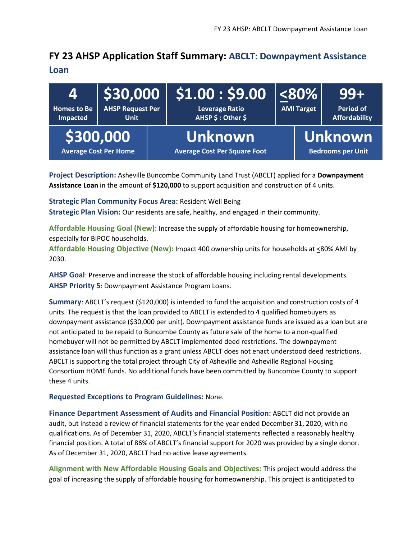# **FY 23 AHSP Application Staff Summary: ABCLT: Downpayment Assistance**

**Loan**

| $\mathbf{A}$<br><b>Homes to Be</b><br>Impacted | <b>AHSP Request Per</b><br><b>Unit</b> | $ $ \$30,000 $ $ \$1.00:\$9.00<br><b>Leverage Ratio</b><br>AHSP \$: Other \$ | $ 80\% $<br><b>AMI Target</b> | $99 +$<br><b>Period of</b><br><b>Affordability</b> |
|------------------------------------------------|----------------------------------------|------------------------------------------------------------------------------|-------------------------------|----------------------------------------------------|
| \$300,000<br><b>Average Cost Per Home</b>      |                                        | <b>Unknown</b><br><b>Average Cost Per Square Foot</b>                        |                               | Unknown<br><b>Bedrooms per Unit</b>                |

**Project Description:** Asheville Buncombe Community Land Trust (ABCLT) applied for a **Downpayment Assistance Loan** in the amount of **\$120,000** to support acquisition and construction of 4 units.

**Strategic Plan Community Focus Area:** Resident Well Being

**Strategic Plan Vision:** Our residents are safe, healthy, and engaged in their community.

**Affordable Housing Goal (New):** Increase the supply of affordable housing for homeownership, especially for BIPOC households.

**Affordable Housing Objective (New):** Impact 400 ownership units for households at <80% AMI by 2030.

**AHSP Goal**: Preserve and increase the stock of affordable housing including rental developments. **AHSP Priority 5**: Downpayment Assistance Program Loans.

**Summary**: ABCLT's request (\$120,000) is intended to fund the acquisition and construction costs of 4 units. The request is that the loan provided to ABCLT is extended to 4 qualified homebuyers as downpayment assistance (\$30,000 per unit). Downpayment assistance funds are issued as a loan but are not anticipated to be repaid to Buncombe County as future sale of the home to a non-qualified homebuyer will not be permitted by ABCLT implemented deed restrictions. The downpayment assistance loan will thus function as a grant unless ABCLT does not enact understood deed restrictions. ABCLT is supporting the total project through City of Asheville and Asheville Regional Housing Consortium HOME funds. No additional funds have been committed by Buncombe County to support these 4 units.

#### **Requested Exceptions to Program Guidelines:** None.

**Finance Department Assessment of Audits and Financial Position:** ABCLT did not provide an audit, but instead a review of financial statements for the year ended December 31, 2020, with no qualifications. As of December 31, 2020, ABCLT's financial statements reflected a reasonably healthy financial position. A total of 86% of ABCLT's financial support for 2020 was provided by a single donor. As of December 31, 2020, ABCLT had no active lease agreements.

**Alignment with New Affordable Housing Goals and Objectives:** This project would address the goal of increasing the supply of affordable housing for homeownership. This project is anticipated to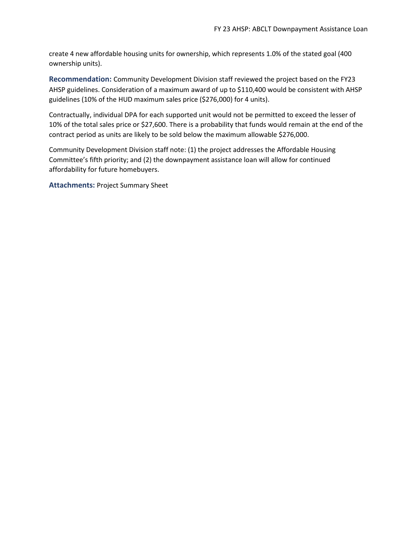create 4 new affordable housing units for ownership, which represents 1.0% of the stated goal (400 ownership units).

**Recommendation:** Community Development Division staff reviewed the project based on the FY23 AHSP guidelines. Consideration of a maximum award of up to \$110,400 would be consistent with AHSP guidelines (10% of the HUD maximum sales price (\$276,000) for 4 units).

Contractually, individual DPA for each supported unit would not be permitted to exceed the lesser of 10% of the total sales price or \$27,600. There is a probability that funds would remain at the end of the contract period as units are likely to be sold below the maximum allowable \$276,000.

Community Development Division staff note: (1) the project addresses the Affordable Housing Committee's fifth priority; and (2) the downpayment assistance loan will allow for continued affordability for future homebuyers.